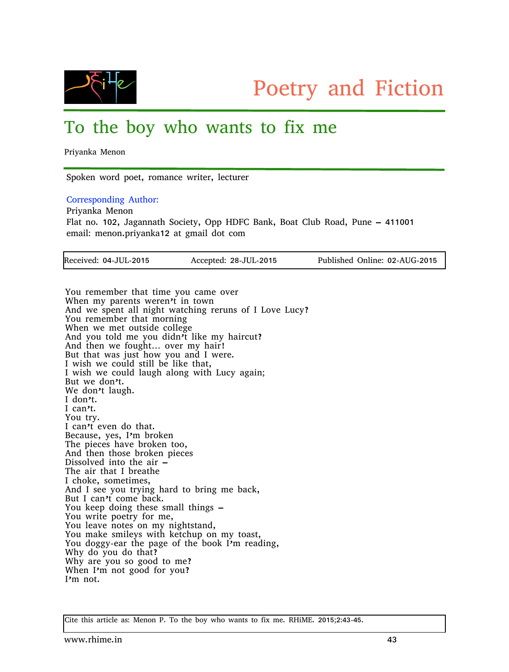

## To the boy who wants to fix me

Priyanka Menon

Spoken word poet, romance writer, lecturer

Corresponding Author:

Priyanka Menon Flat no. 102, Jagannath Society, Opp HDFC Bank, Boat Club Road, Pune – 411001 email: menon.priyanka12 at gmail dot com

| Received: 04-JUL-2015 | Accepted: 28-JUL-2015 | Published Online: 02-AUG-2015 |
|-----------------------|-----------------------|-------------------------------|
|                       |                       |                               |

You remember that time you came over When my parents weren<sup>t</sup> in town And we spent all night watching reruns of I Love Lucy? You remember that morning When we met outside college And you told me you didn't like my haircut? And then we fought… over my hair! But that was just how you and I were. I wish we could still be like that, I wish we could laugh along with Lucy again; But we don't. We don't laugh. I don't. I can't. You try. I can't even do that. Because, yes, I'm broken The pieces have broken too, And then those broken pieces Dissolved into the air – The air that I breathe I choke, sometimes, And I see you trying hard to bring me back, But I can't come back. You keep doing these small things – You write poetry for me, You leave notes on my nightstand, You make smileys with ketchup on my toast, You doggy-ear the page of the book I'm reading, Why do you do that? Why are you so good to me? When I'm not good for you? I'm not.

Cite this article as: Menon P. To the boy who wants to fix me. RHiME. 2015;2:43-45.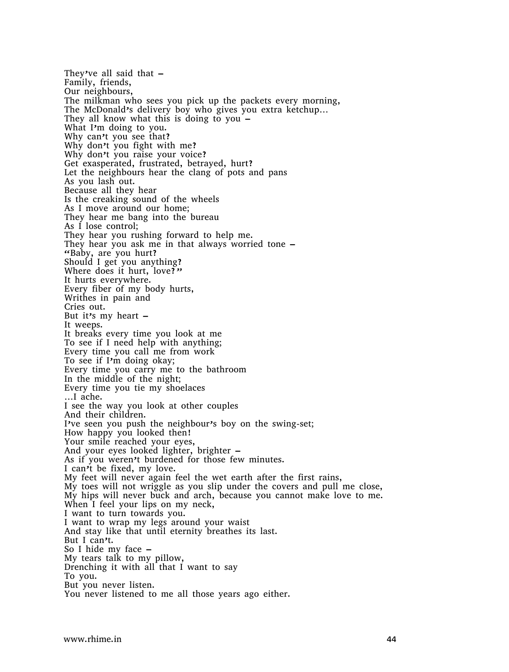They've all said that  $-$ Family, friends, Our neighbours, The milkman who sees you pick up the packets every morning, The McDonald's delivery boy who gives you extra ketchup… They all know what this is doing to you  $-$ What I'm doing to you. Why can't you see that? Why don't you fight with me? Why don't you raise your voice? Get exasperated, frustrated, betrayed, hurt? Let the neighbours hear the clang of pots and pans As you lash out. Because all they hear Is the creaking sound of the wheels As I move around our home; They hear me bang into the bureau As I lose control; They hear you rushing forward to help me. They hear you ask me in that always worried tone – "Baby, are you hurt? Should I get you anything? Where does it hurt, love?" It hurts everywhere. Every fiber of my body hurts, Writhes in pain and Cries out. But it's my heart  $-$ It weeps. It breaks every time you look at me To see if I need help with anything; Every time you call me from work To see if I'm doing okay; Every time you carry me to the bathroom In the middle of the night; Every time you tie my shoelaces …I ache. I see the way you look at other couples And their children. I've seen you push the neighbour's boy on the swing-set; How happy you looked then! Your smile reached your eyes, And your eyes looked lighter, brighter – As if you weren't burdened for those few minutes. I can't be fixed, my love. My feet will never again feel the wet earth after the first rains, My toes will not wriggle as you slip under the covers and pull me close, My hips will never buck and arch, because you cannot make love to me. When I feel your lips on my neck, I want to turn towards you. I want to wrap my legs around your waist And stay like that until eternity breathes its last. But I can't. So I hide my face – My tears talk to my pillow, Drenching it with all that I want to say To you. But you never listen. You never listened to me all those years ago either.